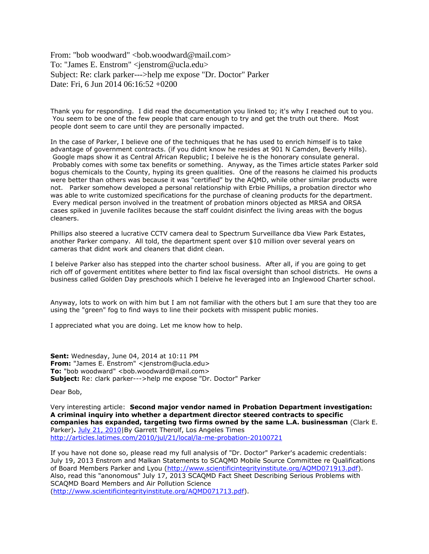From: "bob woodward" <br/> <br/>bob.woodward@mail.com> To: "James E. Enstrom" <jenstrom@ucla.edu> Subject: Re: clark parker--->help me expose "Dr. Doctor" Parker Date: Fri, 6 Jun 2014 06:16:52 +0200

Thank you for responding. I did read the documentation you linked to; it's why I reached out to you. You seem to be one of the few people that care enough to try and get the truth out there. Most people dont seem to care until they are personally impacted.

In the case of Parker, I believe one of the techniques that he has used to enrich himself is to take advantage of government contracts. (if you didnt know he resides at 901 N Camden, Beverly Hills). Google maps show it as Central African Republic; I beleive he is the honorary consulate general. Probably comes with some tax benefits or something. Anyway, as the Times article states Parker sold bogus chemicals to the County, hyping its green qualities. One of the reasons he claimed his products were better than others was because it was "certified" by the AQMD, while other similar products were not. Parker somehow developed a personal relationship with Erbie Phillips, a probation director who was able to write customized specifications for the purchase of cleaning products for the department. Every medical person involved in the treatment of probation minors objected as MRSA and ORSA cases spiked in juvenile facilites because the staff couldnt disinfect the living areas with the bogus cleaners.

Phillips also steered a lucrative CCTV camera deal to Spectrum Surveillance dba View Park Estates, another Parker company. All told, the department spent over \$10 million over several years on cameras that didnt work and cleaners that didnt clean.

I beleive Parker also has stepped into the charter school business. After all, if you are going to get rich off of goverment entitites where better to find lax fiscal oversight than school districts. He owns a business called Golden Day preschools which I beleive he leveraged into an Inglewood Charter school.

Anyway, lots to work on with him but I am not familiar with the others but I am sure that they too are using the "green" fog to find ways to line their pockets with misspent public monies.

I appreciated what you are doing. Let me know how to help.

**Sent:** Wednesday, June 04, 2014 at 10:11 PM **From:** "James E. Enstrom" <jenstrom@ucla.edu> **To:** "bob woodward" <br/>bob.woodward@mail.com> **Subject:** Re: clark parker--->help me expose "Dr. Doctor" Parker

Dear Bob,

Very interesting article: **Second major vendor named in Probation Department investigation: A criminal inquiry into whether a department director steered contracts to specific companies has expanded, targeting two firms owned by the same L.A. businessman** (Clark E. Parker)**.** [July 21, 2010|](http://articles.latimes.com/2010/jul/21)By Garrett Therolf, Los Angeles Times <http://articles.latimes.com/2010/jul/21/local/la-me-probation-20100721>

If you have not done so, please read my full analysis of "Dr. Doctor" Parker's academic credentials: July 19, 2013 Enstrom and Malkan Statements to SCAQMD Mobile Source Committee re Qualifications of Board Members Parker and Lyou [\(http://www.scientificintegrityinstitute.org/AQMD071913.pdf\)](http://www.scientificintegrityinstitute.org/AQMD071913.pdf). Also, read this "anonomous" July 17, 2013 SCAQMD Fact Sheet Describing Serious Problems with SCAQMD Board Members and Air Pollution Science [\(http://www.scientificintegrityinstitute.org/AQMD071713.pdf\)](http://www.scientificintegrityinstitute.org/AQMD071713.pdf).